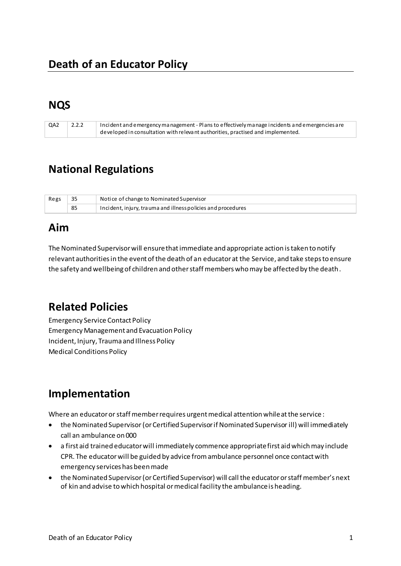### **NQS**

| QA2 | 2.2.2 | Incident and emergency management - Plans to effectively manage incidents and emergencies a re |
|-----|-------|------------------------------------------------------------------------------------------------|
|     |       | developed in consultation with relevant authorities, practised and implemented.                |

# **National Regulations**

| Regs |    | Notice of change to Nominated Supervisor                     |
|------|----|--------------------------------------------------------------|
|      | 85 | Incident, injury, trauma and illness policies and procedures |

### **Aim**

The Nominated Supervisor will ensure that immediate and appropriate action is taken to notify relevant authorities in the event of the death of an educator at the Service, and take steps to ensure the safety and wellbeing of children and other staff members who may be affected by the death .

# **Related Policies**

Emergency Service Contact Policy Emergency Management and Evacuation Policy Incident, Injury, Trauma and Illness Policy Medical Conditions Policy

# **Implementation**

Where an educator or staff member requires urgent medical attention while at the service :

- the Nominated Supervisor (or Certified Supervisor if Nominated Supervisor ill) will immediately call an ambulance on 000
- a first aid trained educator will immediately commence appropriate first aid which may include CPR. The educator will be guided by advice from ambulance personnel once contact with emergency services has been made
- the Nominated Supervisor (or Certified Supervisor) will call the educator or staff member's next of kin and advise to which hospital or medical facility the ambulance is heading.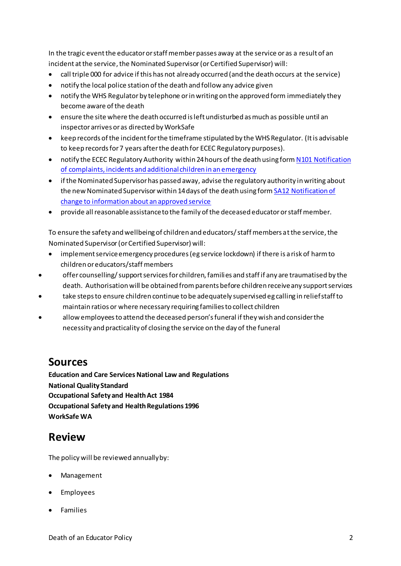In the tragic event the educator or staff member passes away at the service or as a result of an incident at the service, the Nominated Supervisor (or Certified Supervisor) will:

- call triple 000 for advice if this has not already occurred (and the death occurs at the service)
- notify the local police station of the death and follow any advice given
- notify the WHS Regulator by telephone or in writing on the approved form immediately they become aware of the death
- ensure the site where the death occurred is left undisturbed as much as possible until an inspector arrives or as directed by WorkSafe
- keep records of the incident for the timeframe stipulated by the WHS Regulator. (It is advisable to keep records for 7 years after the death for ECEC Regulatory purposes).
- notify the ECEC Regulatory Authority within 24 hours of the death using for[m N101 Notification](http://files.acecqa.gov.au/files/2014%20Application%20Foms/Notifications/NL01_NotificationOfComplaintsAndIncidents_v11.pdf)  [of complaints, incidents and additional children in an emergency](http://files.acecqa.gov.au/files/2014%20Application%20Foms/Notifications/NL01_NotificationOfComplaintsAndIncidents_v11.pdf)
- if the Nominated Supervisor has passed away, advise the regulatory authority in writing about the new Nominated Supervisor within 14 days of the death using for[m SA12 Notification of](http://files.acecqa.gov.au/files/2014%20Application%20Foms/Service%20approval/SA12_NoticeofChangetoInformationAboutanApprovedService_v11.pdf)  [change to information about an approved service](http://files.acecqa.gov.au/files/2014%20Application%20Foms/Service%20approval/SA12_NoticeofChangetoInformationAboutanApprovedService_v11.pdf)
- provide all reasonable assistance to the family of the deceased educator or staff member.

To ensure the safety and wellbeing of children and educators/ staff members at the service, the Nominated Supervisor (or Certified Supervisor) will:

- implement service emergency procedures (eg service lockdown) if there is a risk of harm to children or educators/staff members
- offer counselling/ support services for children, families and staff if any are traumatised by the death. Authorisation will be obtained from parents before children receive any support services
- take steps to ensure children continue to be adequately supervised eg calling in relief staff to maintain ratios or where necessary requiring families to collect children
- allow employees to attend the deceased person's funeral if they wish and consider the necessity and practicality of closing the service on the day of the funeral

### **Sources**

**Education and Care Services National Law and Regulations National Quality Standard Occupational Safety and Health Act 1984 Occupational Safety and Health Regulations 1996 WorkSafe WA**

# **Review**

The policy will be reviewed annually by:

- Management
- Employees
- Families